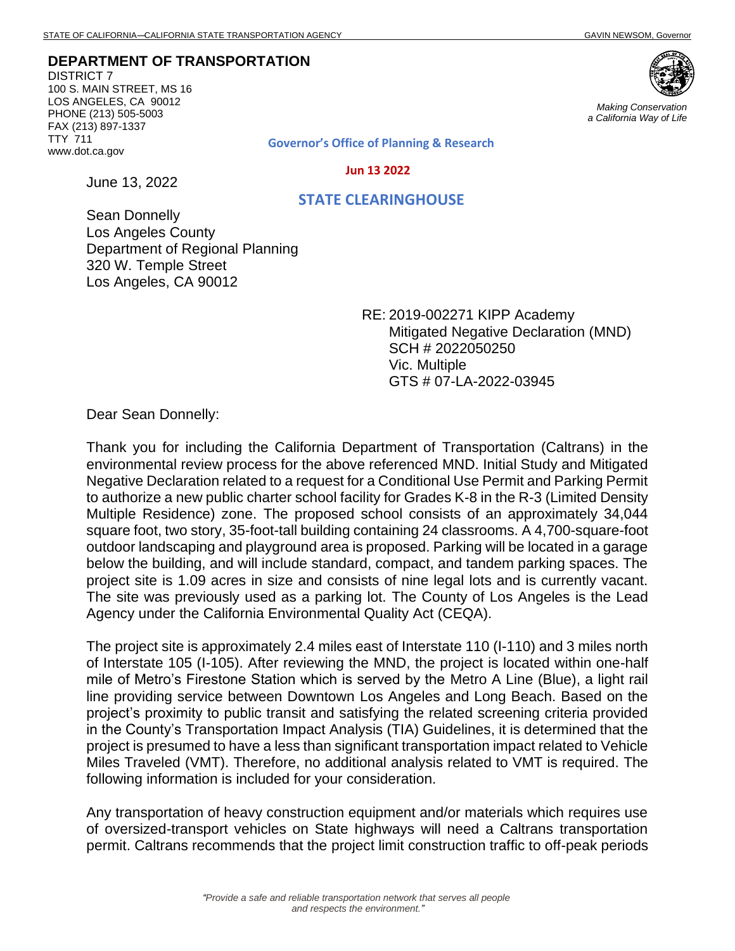## **DEPARTMENT OF TRANSPORTATION**

DISTRICT 7 100 S. MAIN STREET, MS 16 LOS ANGELES, CA 90012 PHONE (213) 505-5003 FAX (213) 897-1337 TTY 711 www.dot.ca.gov

June 13, 2022



*Making Conservation a California Way of Life*

**Governor's Office of Planning & Research**

 **Jun 13 2022**

## **STATE CLEARINGHOUSE**

Sean Donnelly Los Angeles County Department of Regional Planning 320 W. Temple Street Los Angeles, CA 90012

> RE: 2019-002271 KIPP Academy Mitigated Negative Declaration (MND) SCH # 2022050250 Vic. Multiple GTS # 07-LA-2022-03945

Dear Sean Donnelly:

Thank you for including the California Department of Transportation (Caltrans) in the environmental review process for the above referenced MND. Initial Study and Mitigated Negative Declaration related to a request for a Conditional Use Permit and Parking Permit to authorize a new public charter school facility for Grades K-8 in the R-3 (Limited Density Multiple Residence) zone. The proposed school consists of an approximately 34,044 square foot, two story, 35-foot-tall building containing 24 classrooms. A 4,700-square-foot outdoor landscaping and playground area is proposed. Parking will be located in a garage below the building, and will include standard, compact, and tandem parking spaces. The project site is 1.09 acres in size and consists of nine legal lots and is currently vacant. The site was previously used as a parking lot. The County of Los Angeles is the Lead Agency under the California Environmental Quality Act (CEQA).

The project site is approximately 2.4 miles east of Interstate 110 (I-110) and 3 miles north of Interstate 105 (I-105). After reviewing the MND, the project is located within one-half mile of Metro's Firestone Station which is served by the Metro A Line (Blue), a light rail line providing service between Downtown Los Angeles and Long Beach. Based on the project's proximity to public transit and satisfying the related screening criteria provided in the County's Transportation Impact Analysis (TIA) Guidelines, it is determined that the project is presumed to have a less than significant transportation impact related to Vehicle Miles Traveled (VMT). Therefore, no additional analysis related to VMT is required. The following information is included for your consideration.

Any transportation of heavy construction equipment and/or materials which requires use of oversized-transport vehicles on State highways will need a Caltrans transportation permit. Caltrans recommends that the project limit construction traffic to off-peak periods